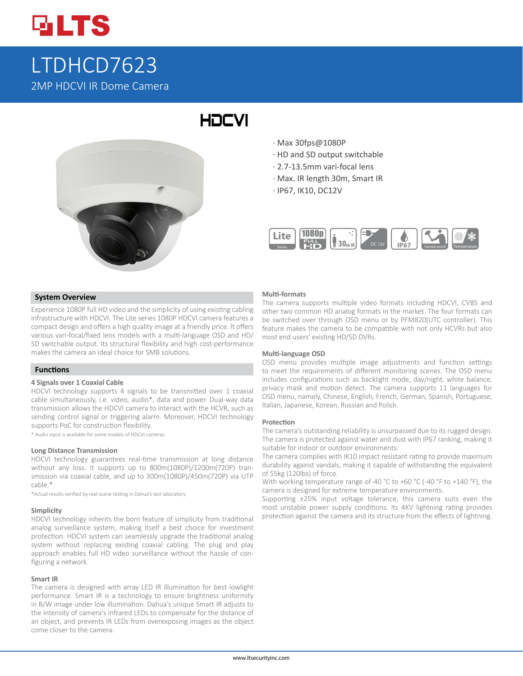

# LTDHCD7623 2MP HDCVI IR Dome Camera

# **HDCVI**

- · Max 30fps@1080P
- · HD and SD output switchable
- · 2.7-13.5mm vari-focal lens
- · Max. IR length 30m, Smart IR
- · IP67, IK10, DC12V



#### **System Overview**

Experience 1080P full HD video and the simplicity of using existing cabling infrastructure with HDCVI. The Lite series 1080P HDCVI camera features a compact design and offers a high quality image at a friendly price. It offers various vari-focal/fixed lens models with a multi-language OSD and HD/ SD switchable output. Its structural flexibility and high cost-performance makes the camera an ideal choice for SMB solutions.

#### **Functions**

#### **4 Signals over 1 Coaxial Cable**

HDCVI technology supports 4 signals to be transmitted over 1 coaxial cable simultaneously, i.e. video, audio\*, data and power. Dual-way data transmission allows the HDCVI camera to interact with the HCVR, such as sending control signal or triggering alarm. Moreover, HDCVI technology supports PoC for construction flexibility.

\* Audio input is available for some models of HDCVI cameras.

#### **Long Distance Transmission**

HDCVI technology guarantees real-time transmission at long distance without any loss. It supports up to 800m(1080P)/1200m(720P) transmission via coaxial cable, and up to 300m(1080P)/450m(720P) via UTP cable.\*

\*Actual results verified by real-scene testing in Dahua's test laboratory.

#### **Simplicity**

HDCVI technology inherits the born feature of simplicity from traditional analog surveillance system, making itself a best choice for investment protection. HDCVI system can seamlessly upgrade the traditional analog system without replacing existing coaxial cabling. The plug and play approach enables full HD video surveillance without the hassle of configuring a network.

#### **Smart IR**

The camera is designed with array LED IR illumination for best lowlight performance. Smart IR is a technology to ensure brightness uniformity in B/W image under low illumination. Dahua's unique Smart IR adjusts to the intensity of camera's infrared LEDs to compensate for the distance of an object, and prevents IR LEDs from overexposing images as the object come closer to the camera.

#### **Multi-formats**

The camera supports multiple video formats including HDCVI, CVBS and other two common HD analog formats in the market. The four formats can be switched over through OSD menu or by PFM820(UTC controller). This feature makes the camera to be compatible with not only HCVRs but also most end users' existing HD/SD DVRs.

#### **Multi-language OSD**

OSD menu provides multiple image adjustments and function settings to meet the requirements of different monitoring scenes. The OSD menu includes configurations such as backlight mode, day/night, white balance, privacy mask and motion detect. The camera supports 11 languages for OSD menu, namely, Chinese, English, French, German, Spanish, Portuguese, Italian, Japanese, Korean, Russian and Polish.

#### **Protection**

The camera's outstanding reliability is unsurpassed due to its rugged design. The camera is protected against water and dust with IP67 ranking, making it suitable for indoor or outdoor environments.

The camera complies with IK10 impact resistant rating to provide maximum durability against vandals, making it capable of withstanding the equivalent of 55kg (120lbs) of force.

With working temperature range of-40 °C to +60 °C (-40 °F to +140 °F), the camera is designed for extreme temperature environments.

Supporting ±25% input voltage tolerance, this camera suits even the most unstable power supply conditions. Its 4KV lightning rating provides protection against the camera and its structure from the effects of lightning.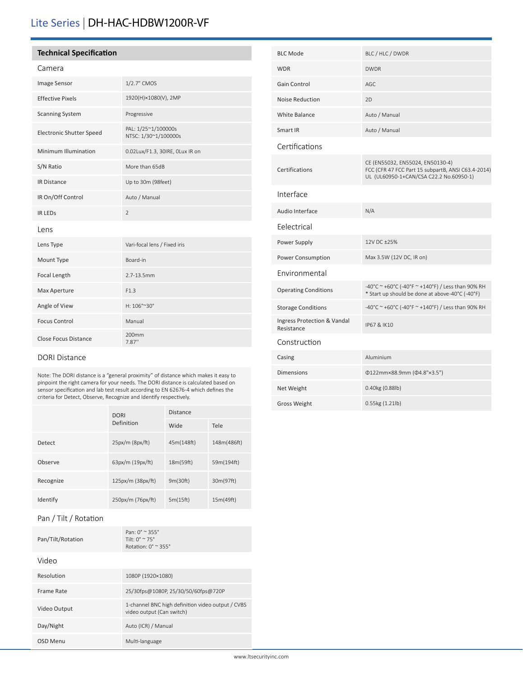## Lite Series | DH-HAC-HDBW1200R-VF

#### **Technical Specification**

### Camera

| Image Sensor                | 1/2.7" CMOS                                 |  |
|-----------------------------|---------------------------------------------|--|
| <b>Effective Pixels</b>     | 1920(H)×1080(V), 2MP                        |  |
| <b>Scanning System</b>      | Progressive                                 |  |
| Electronic Shutter Speed    | PAL: 1/25~1/100000s<br>NTSC: 1/30~1/100000s |  |
| Minimum Illumination        | 0.02Lux/F1.3, 30IRE, OLux IR on             |  |
| S/N Ratio                   | More than 65dB                              |  |
| <b>IR Distance</b>          | Up to 30m (98feet)                          |  |
| IR On/Off Control           | Auto / Manual                               |  |
| <b>IR LEDS</b>              | $\overline{2}$                              |  |
| Lens                        |                                             |  |
| Lens Type                   | Vari-focal lens / Fixed iris                |  |
| Mount Type                  | Board-in                                    |  |
| Focal Length                | $2.7 - 13.5$ mm                             |  |
| Max Aperture                | F1.3                                        |  |
| Angle of View               | H: 106°~30°                                 |  |
| <b>Focus Control</b>        | Manual                                      |  |
| <b>Close Focus Distance</b> | 200 <sub>mm</sub><br>7.87"                  |  |

#### DORI Distance

Note: The DORI distance is a "general proximity" of distance which makes it easy to pinpoint the right camera for your needs. The DORI distance is calculated based on sensor specification and lab test result according to EN 62676-4 which defines the criteria for Detect, Observe, Recognize and Identify respectively.

|           | <b>DORI</b>       | <b>Distance</b> |             |
|-----------|-------------------|-----------------|-------------|
|           | Definition        | Wide            | Tele        |
| Detect    | $25px/m$ (8px/ft) | 45m(148ft)      | 148m(486ft) |
| Observe   | 63px/m (19px/ft)  | 18m(59ft)       | 59m(194ft)  |
| Recognize | 125px/m (38px/ft) | 9m(30ft)        | 30m(97ft)   |
| Identify  | 250px/m (76px/ft) | 5m(15ft)        | 15m(49ft)   |

#### Pan / Tilt / Rotation

| Pan/Tilt/Rotation | Pan: $0^{\circ} \approx 355^{\circ}$<br>Tilt: $0^{\circ} \approx 75^{\circ}$<br>Rotation: $0^\circ \approx 355^\circ$ |
|-------------------|-----------------------------------------------------------------------------------------------------------------------|
| Video             |                                                                                                                       |
| Resolution        | 1080P (1920×1080)                                                                                                     |
| Frame Rate        | 25/30fps@1080P, 25/30/50/60fps@720P                                                                                   |
| Video Output      | 1-channel BNC high definition video output / CVBS<br>video output (Can switch)                                        |
| Day/Night         | Auto (ICR) / Manual                                                                                                   |
| OSD Menu          | Multi-language                                                                                                        |

| <b>BLC Mode</b>                           | BLC / HLC / DWDR                                                                                                                  |
|-------------------------------------------|-----------------------------------------------------------------------------------------------------------------------------------|
| <b>WDR</b>                                | <b>DWDR</b>                                                                                                                       |
| Gain Control                              | AGC                                                                                                                               |
| Noise Reduction                           | 2D                                                                                                                                |
| <b>White Balance</b>                      | Auto / Manual                                                                                                                     |
| Smart IR                                  | Auto / Manual                                                                                                                     |
| Certifications                            |                                                                                                                                   |
| Certifications                            | CE (EN55032, EN55024, EN50130-4)<br>FCC (CFR 47 FCC Part 15 subpartB, ANSI C63.4-2014)<br>UL (UL60950-1+CAN/CSA C22.2 No.60950-1) |
| Interface                                 |                                                                                                                                   |
| Audio Interface                           | N/A                                                                                                                               |
| Felectrical                               |                                                                                                                                   |
| Power Supply                              | 12V DC +25%                                                                                                                       |
| Power Consumption                         | Max 3.5W (12V DC, IR on)                                                                                                          |
| Environmental                             |                                                                                                                                   |
| <b>Operating Conditions</b>               | -40°C ~ +60°C (-40°F ~ +140°F) / Less than 90% RH<br>* Start up should be done at above-40°C (-40°F)                              |
| <b>Storage Conditions</b>                 | -40°C ~ +60°C (-40°F ~ +140°F) / Less than 90% RH                                                                                 |
| Ingress Protection & Vandal<br>Resistance | IP67 & IK10                                                                                                                       |
| Construction                              |                                                                                                                                   |
| Casing                                    | Aluminium                                                                                                                         |
| Dimensions                                | Φ122mm×88.9mm (Φ4.8"×3.5")                                                                                                        |
| Net Weight                                | 0.40kg (0.88lb)                                                                                                                   |
| <b>Gross Weight</b>                       | 0.55kg (1.21lb)                                                                                                                   |